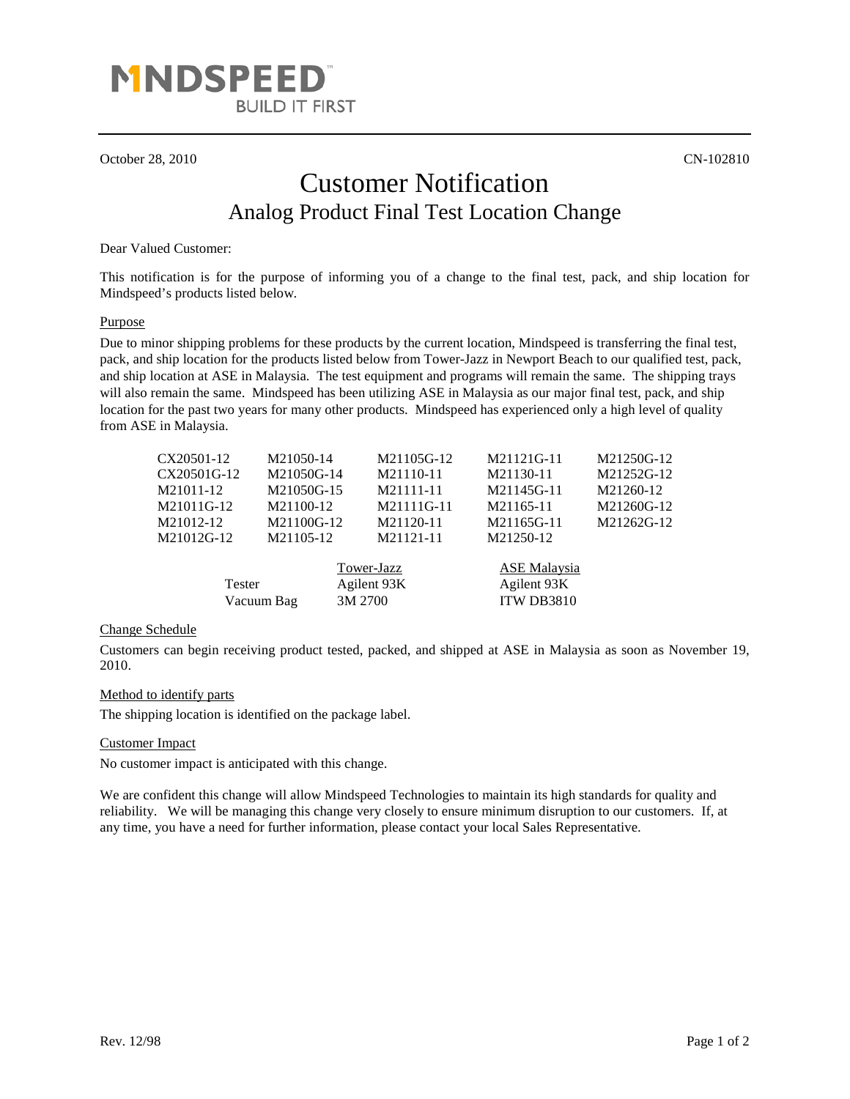

October 28, 2010 CN-102810

# Customer Notification Analog Product Final Test Location Change

### Dear Valued Customer:

This notification is for the purpose of informing you of a change to the final test, pack, and ship location for Mindspeed's products listed below.

#### **Purpose**

Due to minor shipping problems for these products by the current location, Mindspeed is transferring the final test, pack, and ship location for the products listed below from Tower-Jazz in Newport Beach to our qualified test, pack, and ship location at ASE in Malaysia. The test equipment and programs will remain the same. The shipping trays will also remain the same. Mindspeed has been utilizing ASE in Malaysia as our major final test, pack, and ship location for the past two years for many other products. Mindspeed has experienced only a high level of quality from ASE in Malaysia.

| CX20501-12    | M21050-14  | M21105G-12                           | M21121G-11                                       | M21250G-12 |
|---------------|------------|--------------------------------------|--------------------------------------------------|------------|
| CX20501G-12   | M21050G-14 | M21110-11                            | M21130-11                                        | M21252G-12 |
| M21011-12     | M21050G-15 | M21111-11                            | M21145G-11                                       | M21260-12  |
| M21011G-12    | M21100-12  | M21111G-11                           | M21165-11                                        | M21260G-12 |
| M21012-12     | M21100G-12 | M21120-11                            | M21165G-11                                       | M21262G-12 |
| M21012G-12    | M21105-12  | M21121-11                            | M21250-12                                        |            |
| <b>Tester</b> | Vacuum Bag | Tower-Jazz<br>Agilent 93K<br>3M 2700 | <b>ASE Malaysia</b><br>Agilent 93K<br>ITW DB3810 |            |

#### Change Schedule

Customers can begin receiving product tested, packed, and shipped at ASE in Malaysia as soon as November 19, 2010.

#### Method to identify parts

The shipping location is identified on the package label.

#### Customer Impact

No customer impact is anticipated with this change.

We are confident this change will allow Mindspeed Technologies to maintain its high standards for quality and reliability. We will be managing this change very closely to ensure minimum disruption to our customers. If, at any time, you have a need for further information, please contact your local Sales Representative.